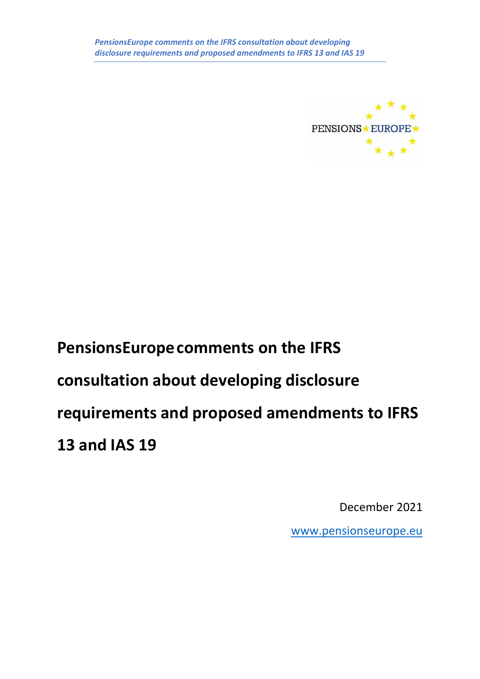

# **PensionsEuropecomments on the IFRS consultation about developing disclosure requirements and proposed amendments to IFRS 13 and IAS 19**

December 2021

[www.pensionseurope.eu](http://www.pensionseurope.eu/)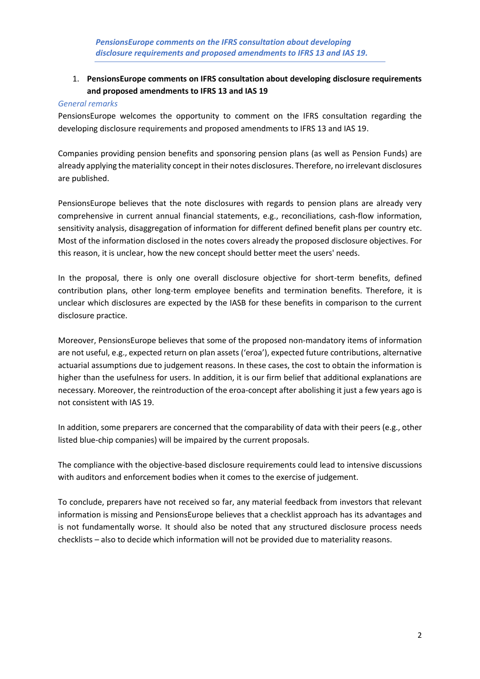# 1. **PensionsEurope comments on IFRS consultation about developing disclosure requirements and proposed amendments to IFRS 13 and IAS 19**

#### *General remarks*

PensionsEurope welcomes the opportunity to comment on the IFRS consultation regarding the developing disclosure requirements and proposed amendments to IFRS 13 and IAS 19.

Companies providing pension benefits and sponsoring pension plans (as well as Pension Funds) are already applying the materiality concept in their notes disclosures. Therefore, no irrelevant disclosures are published.

PensionsEurope believes that the note disclosures with regards to pension plans are already very comprehensive in current annual financial statements, e.g., reconciliations, cash-flow information, sensitivity analysis, disaggregation of information for different defined benefit plans per country etc. Most of the information disclosed in the notes covers already the proposed disclosure objectives. For this reason, it is unclear, how the new concept should better meet the users' needs.

In the proposal, there is only one overall disclosure objective for short-term benefits, defined contribution plans, other long-term employee benefits and termination benefits. Therefore, it is unclear which disclosures are expected by the IASB for these benefits in comparison to the current disclosure practice.

Moreover, PensionsEurope believes that some of the proposed non-mandatory items of information are not useful, e.g., expected return on plan assets ('eroa'), expected future contributions, alternative actuarial assumptions due to judgement reasons. In these cases, the cost to obtain the information is higher than the usefulness for users. In addition, it is our firm belief that additional explanations are necessary. Moreover, the reintroduction of the eroa-concept after abolishing it just a few years ago is not consistent with IAS 19.

In addition, some preparers are concerned that the comparability of data with their peers (e.g., other listed blue-chip companies) will be impaired by the current proposals.

The compliance with the objective-based disclosure requirements could lead to intensive discussions with auditors and enforcement bodies when it comes to the exercise of judgement.

To conclude, preparers have not received so far, any material feedback from investors that relevant information is missing and PensionsEurope believes that a checklist approach has its advantages and is not fundamentally worse. It should also be noted that any structured disclosure process needs checklists – also to decide which information will not be provided due to materiality reasons.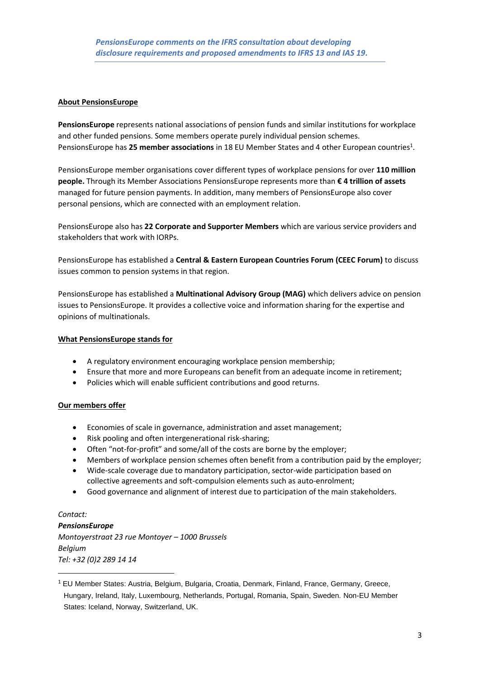## **About PensionsEurope**

**PensionsEurope** represents national associations of pension funds and similar institutions for workplace and other funded pensions. Some members operate purely individual pension schemes. PensionsEurope has 25 member associations in 18 EU Member States and 4 other European countries<sup>1</sup>.

PensionsEurope member organisations cover different types of workplace pensions for over **110 million people.** Through its Member Associations PensionsEurope represents more than **€ 4 trillion of assets** managed for future pension payments. In addition, many members of PensionsEurope also cover personal pensions, which are connected with an employment relation.

PensionsEurope also has **22 Corporate and Supporter Members** which are various service providers and stakeholders that work with IORPs.

PensionsEurope has established a **Central & Eastern European Countries Forum (CEEC Forum)** to discuss issues common to pension systems in that region.

PensionsEurope has established a **Multinational Advisory Group (MAG)** which delivers advice on pension issues to PensionsEurope. It provides a collective voice and information sharing for the expertise and opinions of multinationals.

#### **What PensionsEurope stands for**

- A regulatory environment encouraging workplace pension membership;
- Ensure that more and more Europeans can benefit from an adequate income in retirement;
- Policies which will enable sufficient contributions and good returns.

### **Our members offer**

- Economies of scale in governance, administration and asset management;
- Risk pooling and often intergenerational risk-sharing;
- Often "not-for-profit" and some/all of the costs are borne by the employer;
- Members of workplace pension schemes often benefit from a contribution paid by the employer;
- Wide-scale coverage due to mandatory participation, sector-wide participation based on collective agreements and soft-compulsion elements such as auto-enrolment;
- Good governance and alignment of interest due to participation of the main stakeholders.

*Contact: PensionsEurope Montoyerstraat 23 rue Montoyer – 1000 Brussels Belgium Tel: +32 (0)2 289 14 14*

<sup>&</sup>lt;sup>1</sup> EU Member States: Austria, Belgium, Bulgaria, Croatia, Denmark, Finland, France, Germany, Greece, Hungary, Ireland, Italy, Luxembourg, Netherlands, Portugal, Romania, Spain, Sweden. Non-EU Member States: Iceland, Norway, Switzerland, UK.